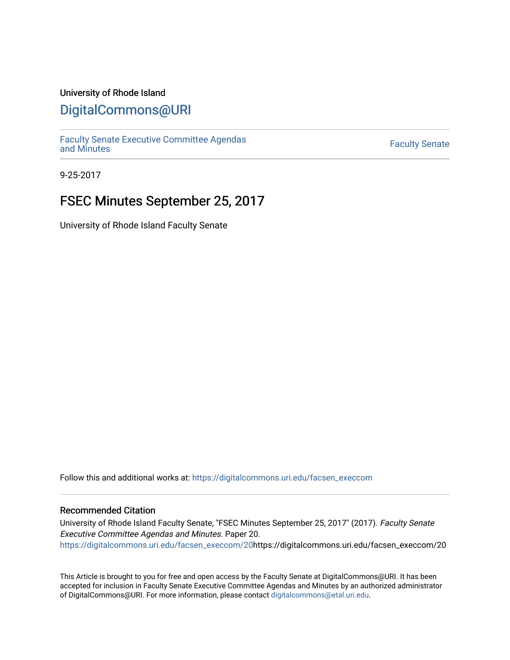### University of Rhode Island

### [DigitalCommons@URI](https://digitalcommons.uri.edu/)

[Faculty Senate Executive Committee Agendas](https://digitalcommons.uri.edu/facsen_execcom)  [and Minutes](https://digitalcommons.uri.edu/facsen_execcom) [Faculty Senate](https://digitalcommons.uri.edu/facsen) 

9-25-2017

## FSEC Minutes September 25, 2017

University of Rhode Island Faculty Senate

Follow this and additional works at: [https://digitalcommons.uri.edu/facsen\\_execcom](https://digitalcommons.uri.edu/facsen_execcom?utm_source=digitalcommons.uri.edu%2Ffacsen_execcom%2F20&utm_medium=PDF&utm_campaign=PDFCoverPages) 

### Recommended Citation

University of Rhode Island Faculty Senate, "FSEC Minutes September 25, 2017" (2017). Faculty Senate Executive Committee Agendas and Minutes. Paper 20. [https://digitalcommons.uri.edu/facsen\\_execcom/20h](https://digitalcommons.uri.edu/facsen_execcom/20?utm_source=digitalcommons.uri.edu%2Ffacsen_execcom%2F20&utm_medium=PDF&utm_campaign=PDFCoverPages)ttps://digitalcommons.uri.edu/facsen\_execcom/20

This Article is brought to you for free and open access by the Faculty Senate at DigitalCommons@URI. It has been accepted for inclusion in Faculty Senate Executive Committee Agendas and Minutes by an authorized administrator of DigitalCommons@URI. For more information, please contact [digitalcommons@etal.uri.edu](mailto:digitalcommons@etal.uri.edu).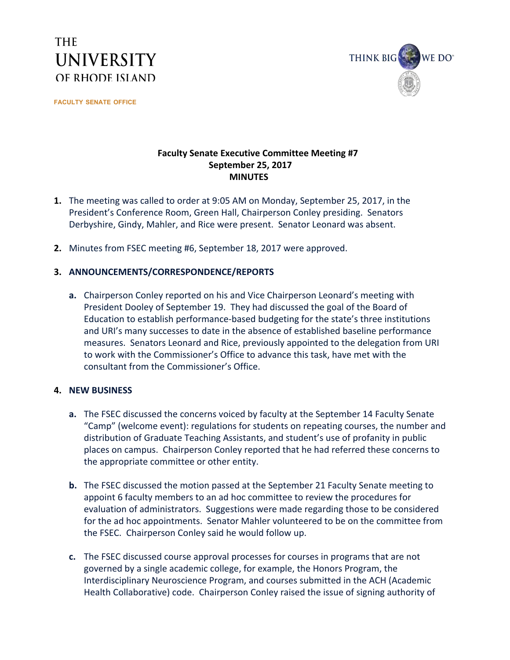# **THE UNIVERSITY** OF RHODE ISLAND

**FACULTY SENATE OFFICE**



### **Faculty Senate Executive Committee Meeting #7 September 25, 2017 MINUTES**

- **1.** The meeting was called to order at 9:05 AM on Monday, September 25, 2017, in the President's Conference Room, Green Hall, Chairperson Conley presiding. Senators Derbyshire, Gindy, Mahler, and Rice were present. Senator Leonard was absent.
- **2.** Minutes from FSEC meeting #6, September 18, 2017 were approved.

### **3. ANNOUNCEMENTS/CORRESPONDENCE/REPORTS**

**a.** Chairperson Conley reported on his and Vice Chairperson Leonard's meeting with President Dooley of September 19. They had discussed the goal of the Board of Education to establish performance-based budgeting for the state's three institutions and URI's many successes to date in the absence of established baseline performance measures. Senators Leonard and Rice, previously appointed to the delegation from URI to work with the Commissioner's Office to advance this task, have met with the consultant from the Commissioner's Office.

#### **4. NEW BUSINESS**

- **a.** The FSEC discussed the concerns voiced by faculty at the September 14 Faculty Senate "Camp" (welcome event): regulations for students on repeating courses, the number and distribution of Graduate Teaching Assistants, and student's use of profanity in public places on campus. Chairperson Conley reported that he had referred these concerns to the appropriate committee or other entity.
- **b.** The FSEC discussed the motion passed at the September 21 Faculty Senate meeting to appoint 6 faculty members to an ad hoc committee to review the procedures for evaluation of administrators. Suggestions were made regarding those to be considered for the ad hoc appointments. Senator Mahler volunteered to be on the committee from the FSEC. Chairperson Conley said he would follow up.
- **c.** The FSEC discussed course approval processes for courses in programs that are not governed by a single academic college, for example, the Honors Program, the Interdisciplinary Neuroscience Program, and courses submitted in the ACH (Academic Health Collaborative) code. Chairperson Conley raised the issue of signing authority of